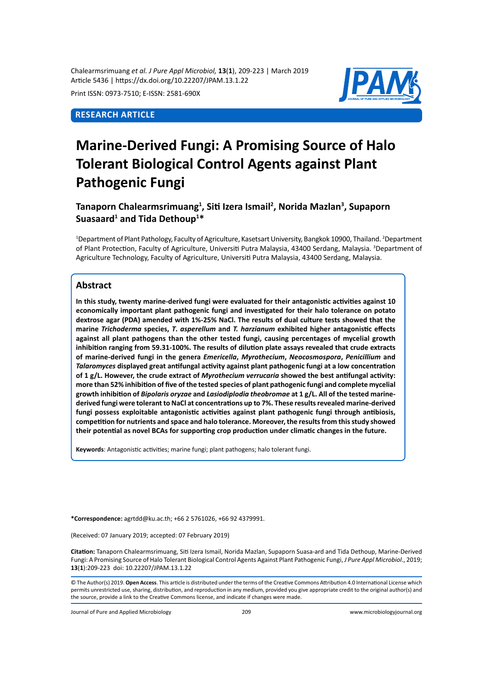Chalearmsrimuang *et al. J Pure Appl Microbiol,* **13**(**1**), 209-223 | March 2019 Article 5436 | https://dx.doi.org/10.22207/JPAM.13.1.22

Print ISSN: 0973-7510; E-ISSN: 2581-690X

## **Research Article**



# **Marine-Derived Fungi: A Promising Source of Halo Tolerant Biological Control Agents against Plant Pathogenic Fungi**

# **Tanaporn Chalearmsrimuang1 , Siti Izera Ismail<sup>2</sup> , Norida Mazlan<sup>3</sup> , Supaporn Suasaard1 and Tida Dethoup1 \***

<sup>1</sup>Department of Plant Pathology, Faculty of Agriculture, Kasetsart University, Bangkok 10900, Thailand. <sup>2</sup>Department of Plant Protection, Faculty of Agriculture, Universiti Putra Malaysia, 43400 Serdang, Malaysia. <sup>3</sup>Department of Agriculture Technology, Faculty of Agriculture, Universiti Putra Malaysia, 43400 Serdang, Malaysia.

## **Abstract**

**In this study, twenty marine-derived fungi were evaluated for their antagonistic activities against 10 economically important plant pathogenic fungi and investigated for their halo tolerance on potato dextrose agar (PDA) amended with 1%-25% NaCl. The results of dual culture tests showed that the marine** *Trichoderma* **species,** *T***.** *asperellum* **and** *T. harzianum* **exhibited higher antagonistic effects against all plant pathogens than the other tested fungi, causing percentages of mycelial growth inhibition ranging from 59.31-100%. The results of dilution plate assays revealed that crude extracts of marine-derived fungi in the genera** *Emericella***,** *Myrothecium***,** *Neocosmospora***,** *Penicillium* **and**  *Talaromyces* **displayed great antifungal activity against plant pathogenic fungi at a low concentration of 1 g/L. However, the crude extract of** *Myrothecium verrucaria* **showed the best antifungal activity: more than 52% inhibition of five of the tested species of plant pathogenic fungi and complete mycelial growth inhibition of** *Bipolaris oryzae* **and** *Lasiodiplodia theobromae* **at 1 g/L. All of the tested marinederived fungi were tolerant to NaCl at concentrations up to 7%. These results revealed marine-derived fungi possess exploitable antagonistic activities against plant pathogenic fungi through antibiosis, competition for nutrients and space and halo tolerance. Moreover, the results from this study showed their potential as novel BCAs for supporting crop production under climatic changes in the future.**

**Keywords**: Antagonistic activities; marine fungi; plant pathogens; halo tolerant fungi.

**\*Correspondence:** agrtdd@ku.ac.th; +66 2 5761026, +66 92 4379991.

(Received: 07 January 2019; accepted: 07 February 2019)

**Citation:** Tanaporn Chalearmsrimuang, Siti Izera Ismail, Norida Mazlan, Supaporn Suasa-ard and Tida Dethoup, Marine-Derived Fungi: A Promising Source of Halo Tolerant Biological Control Agents Against Plant Pathogenic Fungi, *J Pure Appl Microbiol*., 2019; **13**(**1**):209-223 doi: 10.22207/JPAM.13.1.22

© The Author(s) 2019. **Open Access**. This article is distributed under the terms of the Creative Commons Attribution 4.0 International License which permits unrestricted use, sharing, distribution, and reproduction in any medium, provided you give appropriate credit to the original author(s) and the source, provide a link to the Creative Commons license, and indicate if changes were made.

Journal of Pure and Applied Microbiology 209 www.microbiologyjournal.org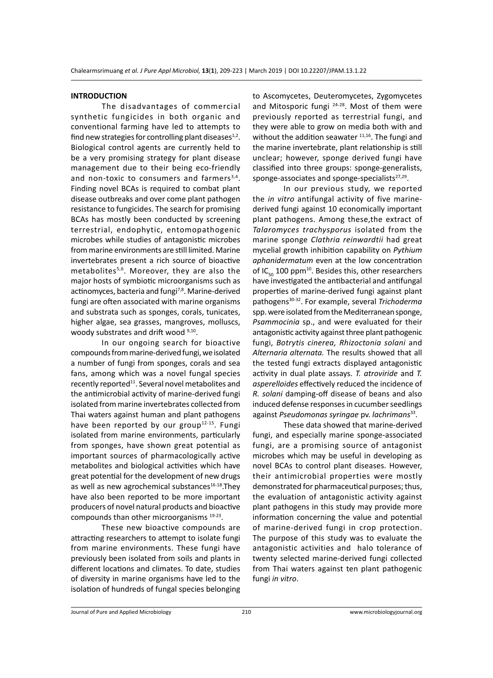#### **INTRODUCTION**

The disadvantages of commercial synthetic fungicides in both organic and conventional farming have led to attempts to find new strategies for controlling plant diseases $1/2$ . Biological control agents are currently held to be a very promising strategy for plant disease management due to their being eco-friendly and non-toxic to consumers and farmers<sup>3,4</sup>. Finding novel BCAs is required to combat plant disease outbreaks and over come plant pathogen resistance to fungicides. The search for promising BCAs has mostly been conducted by screening terrestrial, endophytic, entomopathogenic microbes while studies of antagonistic microbes from marine environments are still limited. Marine invertebrates present a rich source of bioactive metabolites<sup>5,6</sup>. Moreover, they are also the major hosts of symbiotic microorganisms such as actinomyces, bacteria and fungi<sup>7,8</sup>. Marine-derived fungi are often associated with marine organisms and substrata such as sponges, corals, tunicates, higher algae, sea grasses, mangroves, molluscs, woody substrates and drift wood  $9,10$ .

In our ongoing search for bioactive compounds from marine-derived fungi, we isolated a number of fungi from sponges, corals and sea fans, among which was a novel fungal species recently reported<sup>11</sup>. Several novel metabolites and the antimicrobial activity of marine-derived fungi isolated from marine invertebrates collected from Thai waters against human and plant pathogens have been reported by our group<sup>12-15</sup>. Fungi isolated from marine environments, particularly from sponges, have shown great potential as important sources of pharmacologically active metabolites and biological activities which have great potential for the development of new drugs as well as new agrochemical substances<sup>16-18</sup>. They have also been reported to be more important producers of novel natural products and bioactive compounds than other microorganisms 19-23.

These new bioactive compounds are attracting researchers to attempt to isolate fungi from marine environments. These fungi have previously been isolated from soils and plants in different locations and climates. To date, studies of diversity in marine organisms have led to the isolation of hundreds of fungal species belonging to Ascomycetes, Deuteromycetes, Zygomycetes and Mitosporic fungi <sup>24-28</sup>. Most of them were previously reported as terrestrial fungi, and they were able to grow on media both with and without the addition seawater  $11,16$ . The fungi and the marine invertebrate, plant relationship is still unclear; however, sponge derived fungi have classified into three groups: sponge-generalists, sponge-associates and sponge-specialists<sup>27,29</sup>.

In our previous study, we reported the *in vitro* antifungal activity of five marinederived fungi against 10 economically important plant pathogens. Among these,the extract of *Talaromyces trachysporus* isolated from the marine sponge *Clathria reinwardtii* had great mycelial growth inhibition capability on *Pythium aphanidermatum* even at the low concentration of IC $_{50}$  100 ppm<sup>10</sup>. Besides this, other researchers have investigated the antibacterial and antifungal properties of marine-derived fungi against plant pathogens30-32. For example, several *Trichoderma* spp. were isolated from the Mediterranean sponge, *Psammocinia* sp., and were evaluated for their antagonistic activity against three plant pathogenic fungi, *Botrytis cinerea, Rhizoctonia solani* and *Alternaria alternata.* The results showed that all the tested fungi extracts displayed antagonistic activity in dual plate assays. *T. atroviride* and *T. asperelloides* effectively reduced the incidence of *R. solani* damping-off disease of beans and also induced defense responses in cucumber seedlings against *Pseudomonas syringae* pv. *lachrimans*33.

These data showed that marine-derived fungi, and especially marine sponge-associated fungi, are a promising source of antagonist microbes which may be useful in developing as novel BCAs to control plant diseases. However, their antimicrobial properties were mostly demonstrated for pharmaceutical purposes; thus, the evaluation of antagonistic activity against plant pathogens in this study may provide more information concerning the value and potential of marine-derived fungi in crop protection. The purpose of this study was to evaluate the antagonistic activities and halo tolerance of twenty selected marine-derived fungi collected from Thai waters against ten plant pathogenic fungi *in vitro*.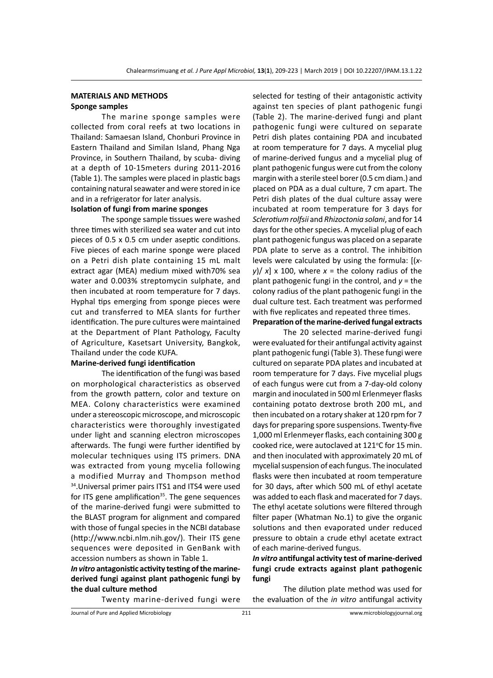## **MATERIALS AND METHODS Sponge samples**

The marine sponge samples were collected from coral reefs at two locations in Thailand: Samaesan Island, Chonburi Province in Eastern Thailand and Similan Island, Phang Nga Province, in Southern Thailand, by scuba- diving at a depth of 10-15meters during 2011-2016 (Table 1). The samples were placed in plastic bags containing natural seawater and were stored in ice and in a refrigerator for later analysis.

## **Isolation of fungi from marine sponges**

The sponge sample tissues were washed three times with sterilized sea water and cut into pieces of 0.5 x 0.5 cm under aseptic conditions. Five pieces of each marine sponge were placed on a Petri dish plate containing 15 mL malt extract agar (MEA) medium mixed with70% sea water and 0.003% streptomycin sulphate, and then incubated at room temperature for 7 days. Hyphal tips emerging from sponge pieces were cut and transferred to MEA slants for further identification. The pure cultures were maintained at the Department of Plant Pathology, Faculty of Agriculture, Kasetsart University, Bangkok, Thailand under the code KUFA.

## **Marine-derived fungi identification**

The identification of the fungi was based on morphological characteristics as observed from the growth pattern, color and texture on MEA. Colony characteristics were examined under a stereoscopic microscope, and microscopic characteristics were thoroughly investigated under light and scanning electron microscopes afterwards. The fungi were further identified by molecular techniques using ITS primers. DNA was extracted from young mycelia following a modified Murray and Thompson method 34. Universal primer pairs ITS1 and ITS4 were used for ITS gene amplification<sup>35</sup>. The gene sequences of the marine-derived fungi were submitted to the BLAST program for alignment and compared with those of fungal species in the NCBI database (http://www.ncbi.nlm.nih.gov/). Their ITS gene sequences were deposited in GenBank with accession numbers as shown in Table 1.

## *In vitro* **antagonistic activity testing of the marinederived fungi against plant pathogenic fungi by the dual culture method**

Twenty marine-derived fungi were

selected for testing of their antagonistic activity against ten species of plant pathogenic fungi (Table 2). The marine-derived fungi and plant pathogenic fungi were cultured on separate Petri dish plates containing PDA and incubated at room temperature for 7 days. A mycelial plug of marine-derived fungus and a mycelial plug of plant pathogenic fungus were cut from the colony margin with a sterile steel borer (0.5 cm diam.) and placed on PDA as a dual culture, 7 cm apart. The Petri dish plates of the dual culture assay were incubated at room temperature for 3 days for *Sclerotium rolfsii* and *Rhizoctonia solani*, and for 14 days for the other species. A mycelial plug of each plant pathogenic fungus was placed on a separate PDA plate to serve as a control. The inhibition levels were calculated by using the formula: [(*x* $y$ / $x$   $\times$  100, where  $x =$  the colony radius of the plant pathogenic fungi in the control, and *y* = the colony radius of the plant pathogenic fungi in the dual culture test. Each treatment was performed with five replicates and repeated three times.

## **Preparation of the marine-derived fungal extracts**

The 20 selected marine-derived fungi were evaluated for their antifungal activity against plant pathogenic fungi (Table 3). These fungi were cultured on separate PDA plates and incubated at room temperature for 7 days. Five mycelial plugs of each fungus were cut from a 7-day-old colony margin and inoculated in 500 ml Erlenmeyer flasks containing potato dextrose broth 200 mL, and then incubated on a rotary shaker at 120 rpm for 7 days for preparing spore suspensions. Twenty-five 1,000 ml Erlenmeyer flasks, each containing 300 g cooked rice, were autoclaved at  $121^{\circ}$ C for 15 min. and then inoculated with approximately 20 mL of mycelial suspension of each fungus. The inoculated flasks were then incubated at room temperature for 30 days, after which 500 mL of ethyl acetate was added to each flask and macerated for 7 days. The ethyl acetate solutions were filtered through filter paper (Whatman No.1) to give the organic solutions and then evaporated under reduced pressure to obtain a crude ethyl acetate extract of each marine-derived fungus.

## *In vitro* **antifungal activity test of marine-derived fungi crude extracts against plant pathogenic fungi**

The dilution plate method was used for the evaluation of the *in vitro* antifungal activity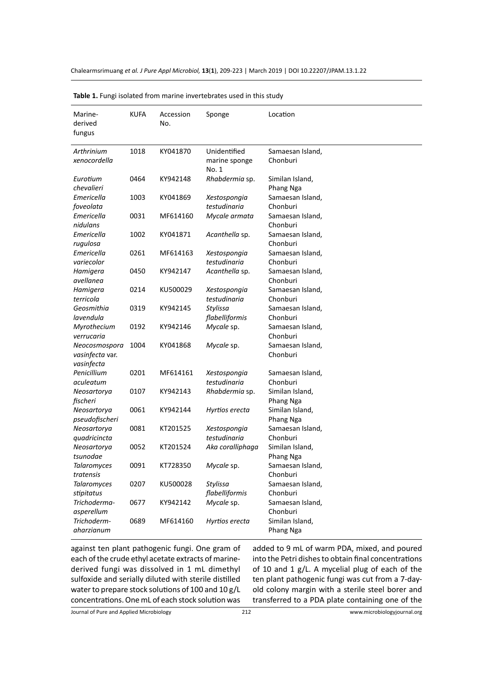| Marine-<br>derived<br>fungus                   | <b>KUFA</b> | Accession<br>No. | Sponge                                 | Location                     |
|------------------------------------------------|-------------|------------------|----------------------------------------|------------------------------|
| Arthrinium<br>xenocordella                     | 1018        | KY041870         | Unidentified<br>marine sponge<br>No. 1 | Samaesan Island,<br>Chonburi |
| Eurotium<br>chevalieri                         | 0464        | KY942148         | Rhabdermia sp.                         | Similan Island,<br>Phang Nga |
| Emericella<br>foveolata                        | 1003        | KY041869         | Xestospongia<br>testudinaria           | Samaesan Island,<br>Chonburi |
| Emericella<br>nidulans                         | 0031        | MF614160         | Mycale armata                          | Samaesan Island,<br>Chonburi |
| Emericella<br>rugulosa                         | 1002        | KY041871         | Acanthella sp.                         | Samaesan Island,<br>Chonburi |
| Emericella<br>variecolor                       | 0261        | MF614163         | Xestospongia<br>testudinaria           | Samaesan Island,<br>Chonburi |
| Hamigera<br>avellanea                          | 0450        | KY942147         | Acanthella sp.                         | Samaesan Island,<br>Chonburi |
| Hamigera<br>terricola                          | 0214        | KU500029         | Xestospongia<br>testudinaria           | Samaesan Island,<br>Chonburi |
| Geosmithia<br>lavendula                        | 0319        | KY942145         | Stylissa<br>flabelliformis             | Samaesan Island,<br>Chonburi |
| Myrothecium<br>verrucaria                      | 0192        | KY942146         | Mycale sp.                             | Samaesan Island,<br>Chonburi |
| Neocosmospora<br>vasinfecta var.<br>vasinfecta | 1004        | KY041868         | Mycale sp.                             | Samaesan Island,<br>Chonburi |
| Penicillium<br>aculeatum                       | 0201        | MF614161         | Xestospongia<br>testudinaria           | Samaesan Island,<br>Chonburi |
| Neosartorya<br>fischeri                        | 0107        | KY942143         | Rhabdermia sp.                         | Similan Island,<br>Phang Nga |
| Neosartorya<br>pseudofischeri                  | 0061        | KY942144         | Hyrtios erecta                         | Similan Island,<br>Phang Nga |
| Neosartorya<br>quadricincta                    | 0081        | KT201525         | Xestospongia<br>testudinaria           | Samaesan Island,<br>Chonburi |
| Neosartorya<br>tsunodae                        | 0052        | KT201524         | Aka coralliphaga                       | Similan Island,<br>Phang Nga |
| <b>Talaromyces</b><br>tratensis                | 0091        | KT728350         | Mycale sp.                             | Samaesan Island,<br>Chonburi |
| <b>Talaromyces</b><br>stipitatus               | 0207        | KU500028         | Stylissa<br>flabelliformis             | Samaesan Island,<br>Chonburi |
| Trichoderma-<br>asperellum                     | 0677        | KY942142         | Mycale sp.                             | Samaesan Island,<br>Chonburi |
| Trichoderm-<br>aharzianum                      | 0689        | MF614160         | Hyrtios erecta                         | Similan Island,<br>Phang Nga |

**Table 1.** Fungi isolated from marine invertebrates used in this study

against ten plant pathogenic fungi. One gram of each of the crude ethyl acetate extracts of marinederived fungi was dissolved in 1 mL dimethyl sulfoxide and serially diluted with sterile distilled water to prepare stock solutions of 100 and 10 g/L concentrations. One mL of each stock solution was added to 9 mL of warm PDA, mixed, and poured into the Petri dishes to obtain final concentrations of 10 and 1 g/L. A mycelial plug of each of the ten plant pathogenic fungi was cut from a 7-dayold colony margin with a sterile steel borer and transferred to a PDA plate containing one of the

Journal of Pure and Applied Microbiology

212 www.microbiologyjournal.org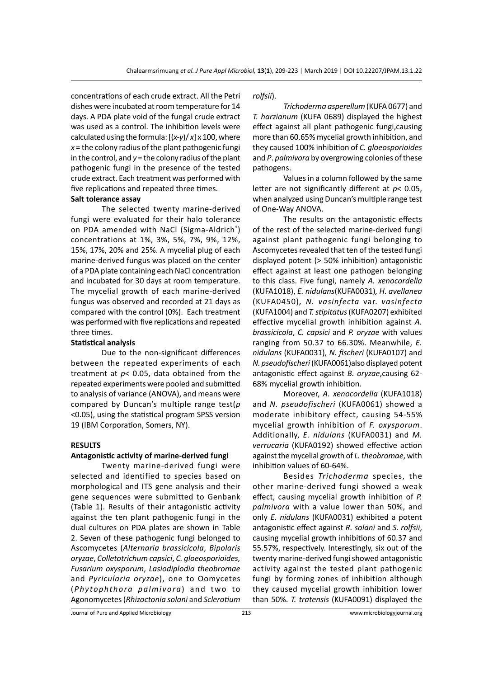concentrations of each crude extract. All the Petri dishes were incubated at room temperature for 14 days*.* A PDA plate void of the fungal crude extract was used as a control. The inhibition levels were calculated using the formula: [(*x-y*)/ *x*] x 100, where *x* = the colony radius of the plant pathogenic fungi in the control, and  $y =$  the colony radius of the plant pathogenic fungi in the presence of the tested crude extract. Each treatment was performed with five replications and repeated three times.

## **Salt tolerance assay**

The selected twenty marine-derived fungi were evaluated for their halo tolerance on PDA amended with NaCl (Sigma-Aldrich®) concentrations at 1%, 3%, 5%, 7%, 9%, 12%, 15%, 17%, 20% and 25%. A mycelial plug of each marine-derived fungus was placed on the center of a PDA plate containing each NaCl concentration and incubated for 30 days at room temperature. The mycelial growth of each marine-derived fungus was observed and recorded at 21 days as compared with the control (0%). Each treatment was performed with five replications and repeated three times.

#### **Statistical analysis**

Due to the non-significant differences between the repeated experiments of each treatment at *p*< 0.05, data obtained from the repeated experiments were pooled and submitted to analysis of variance (ANOVA), and means were compared by Duncan's multiple range test(*p*  <0.05), using the statistical program SPSS version 19 (IBM Corporation, Somers, NY).

#### **RESULTS**

## **Antagonistic activity of marine-derived fungi**

Twenty marine-derived fungi were selected and identified to species based on morphological and ITS gene analysis and their gene sequences were submitted to Genbank (Table 1). Results of their antagonistic activity against the ten plant pathogenic fungi in the dual cultures on PDA plates are shown in Table 2. Seven of these pathogenic fungi belonged to Ascomycetes (*Alternaria brassicicola*, *Bipolaris oryzae*, *Colletotrichum capsici*, *C. gloeosporioides, Fusarium oxysporum*, *Lasiodiplodia theobromae* and *Pyricularia oryzae*), one to Oomycetes (*Phytophthora palmivora*) and two to Agonomycetes (*Rhizoctonia solani* and *Sclerotium*  *rolfsii*).

*Trichoderma asperellum* (KUFA 0677) and *T. harzianum* (KUFA 0689) displayed the highest effect against all plant pathogenic fungi,causing more than 60.65% mycelial growth inhibition, and they caused 100% inhibition of *C. gloeosporioides* and *P*. *palmivora* by overgrowing colonies of these pathogens.

Values in a column followed by the same letter are not significantly different at *p*< 0.05, when analyzed using Duncan's multiple range test of One-Way ANOVA.

The results on the antagonistic effects of the rest of the selected marine-derived fungi against plant pathogenic fungi belonging to Ascomycetes revealed that ten of the tested fungi displayed potent (> 50% inhibition) antagonistic effect against at least one pathogen belonging to this class. Five fungi, namely *A. xenocordella*  (KUFA1018), *E. nidulans*(KUFA0031)*, H. avellanea*  (KUFA0450)*, N. vasinfecta* var. *vasinfecta*  (KUFA1004) and *T. stipitatus* (KUFA0207) exhibited effective mycelial growth inhibition against *A. brassicicola*, *C. capsici* and *P. oryzae* with values ranging from 50.37 to 66.30%. Meanwhile, *E. nidulans* (KUFA0031), *N. fischeri* (KUFA0107) and *N. pseudofischeri* (KUFA0061)also displayed potent antagonistic effect against *B. oryzae*,causing 62- 68% mycelial growth inhibition.

Moreover, *A. xenocordella* (KUFA1018) and *N. pseudofischeri* (KUFA0061) showed a moderate inhibitory effect, causing 54-55% mycelial growth inhibition of *F. oxysporum*. Additionally, *E. nidulans* (KUFA0031) and *M. verrucaria* (KUFA0192) showed effective action against the mycelial growth of *L. theobromae*, with inhibition values of 60-64%.

Besides *Trichoderma* species, the other marine-derived fungi showed a weak effect, causing mycelial growth inhibition of *P. palmivora* with a value lower than 50%, and only *E. nidulans* (KUFA0031) exhibited a potent antagonistic effect against *R. solani* and *S. rolfsii*, causing mycelial growth inhibitions of 60.37 and 55.57%, respectively. Interestingly, six out of the twenty marine-derived fungi showed antagonistic activity against the tested plant pathogenic fungi by forming zones of inhibition although they caused mycelial growth inhibition lower than 50%. *T. tratensis* (KUFA0091) displayed the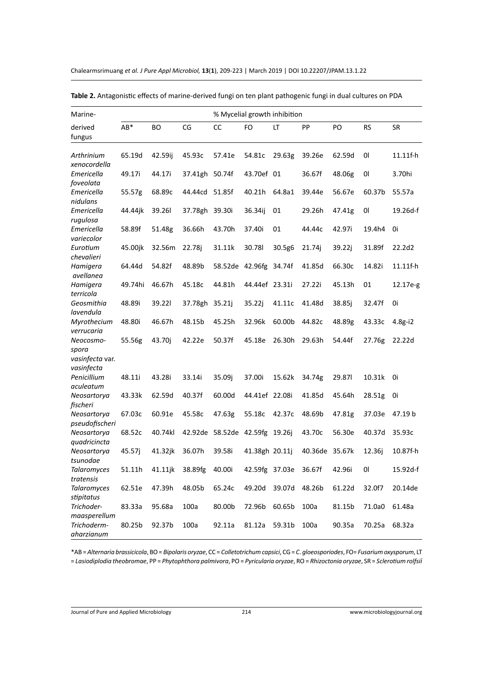Chalearmsrimuang *et al. J Pure Appl Microbiol,* **13**(**1**), 209-223 | March 2019 | DOI 10.22207/JPAM.13.1.22

| Marine-                                 |         |         |                | % Mycelial growth inhibition   |                        |        |                |        |           |             |
|-----------------------------------------|---------|---------|----------------|--------------------------------|------------------------|--------|----------------|--------|-----------|-------------|
| derived<br>fungus                       | AB*     | BО      | CG             | CC                             | FO                     | LT     | PP             | PO     | <b>RS</b> | <b>SR</b>   |
| Arthrinium<br>xenocordella              | 65.19d  | 42.59ij | 45.93c         | 57.41e                         | 54.81c                 | 29.63g | 39.26e         | 62.59d | 01        | $11.11f-h$  |
| Emericella<br>foveolata                 | 49.17i  | 44.17i  | 37.41gh 50.74f |                                | 43.70ef 01             |        | 36.67f         | 48.06g | 01        | 3.70hi      |
| Emericella<br>nidulans                  | 55.57g  | 68.89c  | 44.44cd        | 51.85f                         | 40.21h                 | 64.8a1 | 39.44e         | 56.67e | 60.37b    | 55.57a      |
| Emericella<br>rugulosa                  | 44.44jk | 39.261  | 37.78gh 39.30i |                                | 36.34ij                | 01     | 29.26h         | 47.41g | 01        | 19.26d-f    |
| Emericella<br>variecolor                | 58.89f  | 51.48g  | 36.66h         | 43.70h                         | 37.40i                 | 01     | 44.44c         | 42.97i | 19.4h4    | 0i          |
| Eurotium<br>chevalieri                  | 45.00jk | 32.56m  | 22.78j         | 31.11k                         | 30.78l                 | 30.5g6 | 21.74j         | 39.22j | 31.89f    | 22.2d2      |
| Hamigera<br>avellanea                   | 64.44d  | 54.82f  | 48.89b         |                                | 58.52de 42.96fg 34.74f |        | 41.85d         | 66.30c | 14.82i    | $11.11f-h$  |
| Hamigera<br>terricola                   | 49.74hi | 46.67h  | 45.18c         | 44.81h                         | 44.44ef 23.31i         |        | 27.22i         | 45.13h | 01        | 12.17e-g    |
| Geosmithia<br>lavendula                 | 48.89i  | 39.221  | 37.78gh        | 35.21j                         | 35.22j                 | 41.11c | 41.48d         | 38.85j | 32.47f    | 0i          |
| Myrothecium<br>verrucaria               | 48.80i  | 46.67h  | 48.15b         | 45.25h                         | 32.96k                 | 60.00b | 44.82c         | 48.89g | 43.33c    | $4.8g - i2$ |
| Neocosmo-<br>spora<br>vasinfecta var.   | 55.56g  | 43.70j  | 42.22e         | 50.37f                         | 45.18e                 | 26.30h | 29.63h         | 54.44f | 27.76g    | 22.22d      |
| vasinfecta<br>Penicillium               | 48.11i  | 43.28i  | 33.14i         | 35.09j                         | 37.00i                 | 15.62k | 34.74g         | 29.871 | 10.31k    | 0i          |
| aculeatum<br>Neosartorya                | 43.33k  | 62.59d  | 40.37f         | 60.00d                         | 44.41ef 22.08i         |        | 41.85d         | 45.64h | 28.51g    | 0i          |
| fischeri<br>Neosartorya                 | 67.03c  | 60.91e  | 45.58c         | 47.63g                         | 55.18c                 | 42.37c | 48.69b         | 47.81g | 37.03e    | 47.19 b     |
| pseudofischeri<br>Neosartorya           | 68.52c  | 40.74kl |                | 42.92de 58.52de 42.59fg 19.26j |                        |        | 43.70c         | 56.30e | 40.37d    | 35.93c      |
| quadricincta<br>Neosartorya<br>tsunodae | 45.57j  | 41.32jk | 36.07h         | 39.58i                         | 41.38gh 20.11j         |        | 40.36de 35.67k |        | 12.36i    | 10.87f-h    |
| <b>Talaromyces</b><br>tratensis         | 51.11h  | 41.11jk | 38.89fg        | 40.00i                         | 42.59fg 37.03e         |        | 36.67f         | 42.96i | 01        | 15.92d-f    |
| Talaromyces<br>stipitatus               | 62.51e  | 47.39h  | 48.05b         | 65.24c                         | 49.20d                 | 39.07d | 48.26b         | 61.22d | 32.0f7    | 20.14de     |
| Trichoder-<br>maasperellum              | 83.33a  | 95.68a  | 100a           | 80.00b                         | 72.96b                 | 60.65b | 100a           | 81.15b | 71.0a0    | 61.48a      |
| Trichoderm-<br>aharzianum               | 80.25b  | 92.37b  | 100a           | 92.11a                         | 81.12a                 | 59.31b | 100a           | 90.35a | 70.25a    | 68.32a      |

**Table 2.** Antagonistic effects of marine-derived fungi on ten plant pathogenic fungi in dual cultures on PDA

\*AB = *Alternaria brassicicola*, BO = *Bipolaris oryzae*, CC = *Colletotrichum capsici*, CG = *C*. *gloeosporiodes*, FO= *Fusarium oxysporum*, LT = *Lasiodiplodia theobromae*, PP = *Phytophthora palmivora*, PO = *Pyricularia oryzae*, RO = *Rhizoctonia oryzae*, SR = *Sclerotium rolfsii*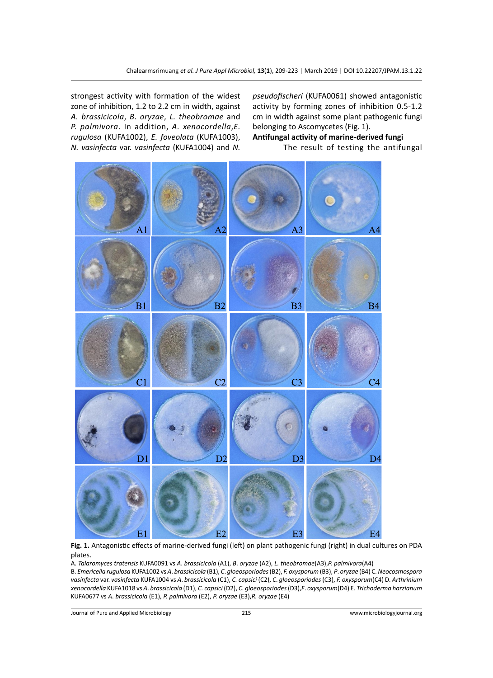strongest activity with formation of the widest zone of inhibition, 1.2 to 2.2 cm in width, against *A. brassicicola*, *B*. *oryzae*, *L. theobromae* and *P. palmivora*. In addition, *A. xenocordella*,*E. rugulosa* (KUFA1002), *E. foveolata* (KUFA1003), *N. vasinfecta* var. *vasinfecta* (KUFA1004) and *N.* 

*pseudofischeri* (KUFA0061) showed antagonistic activity by forming zones of inhibition 0.5-1.2 cm in width against some plant pathogenic fungi belonging to Ascomycetes (Fig. 1).

**Antifungal activity of marine-derived fungi** The result of testing the antifungal



**Fig. 1.** Antagonistic effects of marine-derived fungi (left) on plant pathogenic fungi (right) in dual cultures on PDA plates.

A. *Talaromyces tratensis* KUFA0091 vs *A*. *brassicicola* (A1), *B*. *oryzae* (A2), *L. theobromae*(A3),*P. palmivora*(A4)

B. *Emericella rugulosa* KUFA1002 vs *A*. *brassicicola* (B1), *C*. *gloeosporiodes* (B2), *F. oxysporum* (B3), *P*. *oryzae* (B4) C. *Neocosmospora vasinfecta* var. *vasinfecta* KUFA1004 vs *A*. *brassicicola* (C1), *C. capsici* (C2), *C*. *gloeosporiodes* (C3), *F. oxysporum*(C4) D. *Arthrinium xenocordella* KUFA1018 vs *A*. *brassicicola* (D1), *C. capsici* (D2), *C*. *gloeosporiodes* (D3),*F*. *oxysporum*(D4) E. *Trichoderma harzianum* KUFA0677 vs *A*. *brassicicola* (E1), *P. palmivora* (E2), *P. oryzae* (E3),*R. oryzae* (E4)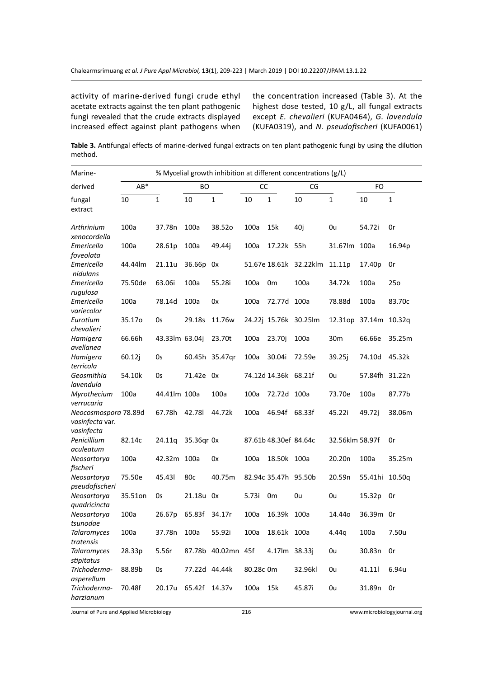activity of marine-derived fungi crude ethyl acetate extracts against the ten plant pathogenic fungi revealed that the crude extracts displayed increased effect against plant pathogens when

the concentration increased (Table 3). At the highest dose tested, 10 g/L, all fungal extracts except *E. chevalieri* (KUFA0464), *G. lavendula* (KUFA0319), and *N. pseudofischeri* (KUFA0061)

**Table 3.** Antifungal effects of marine-derived fungal extracts on ten plant pathogenic fungi by using the dilution method.

| Marine-                                               | % Mycelial growth inhibition at different concentrations (g/L) |                |                 |                    |           |                       |                       |                    |                |                 |
|-------------------------------------------------------|----------------------------------------------------------------|----------------|-----------------|--------------------|-----------|-----------------------|-----------------------|--------------------|----------------|-----------------|
| derived                                               | $AB*$                                                          |                | <b>BO</b>       |                    | <b>CC</b> |                       | CG                    |                    | FO             |                 |
| fungal<br>extract                                     | 10                                                             | $\mathbf{1}$   | 10              | $\mathbf 1$        | 10        | $\mathbf{1}$          | 10                    | $\mathbf{1}$       | 10             | $\mathbf{1}$    |
| Arthrinium<br>xenocordella                            | 100a                                                           | 37.78n         | 100a            | 38.52o             | 100a      | 15k                   | 40i                   | 0u                 | 54.72i         | 0r              |
| Emericella<br>foveolata                               | 100a                                                           | 28.61p         | 100a            | 49.44j             | 100a      | 17.22k 55h            |                       | 31.67lm            | 100a           | 16.94p          |
| Emericella<br>nidulans                                | 44.44lm                                                        | 21.11u         | 36.66p          | 0x                 |           | 51.67e 18.61k         | 32.22klm              | 11.11p             | 17.40p         | 0r              |
| Emericella<br>rugulosa                                | 75.50de                                                        | 63.06i         | 100a            | 55.28i             | 100a      | 0 <sub>m</sub>        | 100a                  | 34.72k             | 100a           | 25 <sub>o</sub> |
| Emericella<br>variecolor                              | 100a                                                           | 78.14d         | 100a            | 0x                 | 100a      | 72.77d 100a           |                       | 78.88d             | 100a           | 83.70c          |
| Eurotium<br>chevalieri                                | 35.17o                                                         | 0s             | 29.18s          | 11.76w             |           |                       | 24.22j 15.76k 30.25lm | 12.31op            | 37.14m 10.32q  |                 |
| Hamigera<br>avellanea                                 | 66.66h                                                         | 43.33lm 63.04j |                 | 23.70t             | 100a      | 23.70j                | 100a                  | 30 <sub>m</sub>    | 66.66e         | 35.25m          |
| Hamigera<br>terricola                                 | 60.12j                                                         | 0s             |                 | 60.45h 35.47gr     | 100a      | 30.04i                | 72.59e                | 39.25j             | 74.10d         | 45.32k          |
| Geosmithia<br>lavendula                               | 54.10k                                                         | 0s             | 71.42e 0x       |                    |           | 74.12d 14.36k 68.21f  |                       | 0u                 | 57.84fh 31.22n |                 |
| Myrothecium<br>verrucaria                             | 100a                                                           | 44.41lm 100a   |                 | 100a               | 100a      | 72.72d 100a           |                       | 73.70e             | 100a           | 87.77b          |
| Neocosmospora 78.89d<br>vasinfecta var.<br>vasinfecta |                                                                | 67.78h         | 42.781          | 44.72k             | 100a      | 46.94f                | 68.33f                | 45.22i             | 49.72j         | 38.06m          |
| Penicillium<br>aculeatum                              | 82.14c                                                         | 24.11q         | 35.36gr 0x      |                    |           | 87.61b 48.30ef 84.64c |                       | 32.56klm 58.97f    |                | 0r              |
| Neosartorya<br>fischeri                               | 100a                                                           | 42.32m 100a    |                 | 0x                 | 100a      | 18.50k 100a           |                       | 20.20 <sub>n</sub> | 100a           | 35.25m          |
| Neosartorya<br>pseudofischeri                         | 75.50e                                                         | 45.431         | 80 <sub>c</sub> | 40.75m             |           | 82.94c 35.47h 95.50b  |                       | 20.59n             | 55.41hi        | 10.50g          |
| Neosartorya<br>quadricincta                           | 35.51on                                                        | 0s             | 21.18u 0x       |                    | 5.73i     | 0 <sub>m</sub>        | 0u                    | 0u                 | 15.32p         | 0r              |
| Neosartorya<br>tsunodae                               | 100a                                                           | 26.67p         | 65.83f          | 34.17r             | 100a      | 16.39k                | 100a                  | 14.44o             | 36.39m Or      |                 |
| <b>Talaromyces</b><br>tratensis                       | 100a                                                           | 37.78n         | 100a            | 55.92i             | 100a      | 18.61k 100a           |                       | 4.44g              | 100a           | 7.50u           |
| <b>Talaromyces</b><br>stipitatus                      | 28.33p                                                         | 5.56r          |                 | 87.78b 40.02mn 45f |           | 4.17lm 38.33j         |                       | 0u                 | 30.83n         | 0r              |
| Trichoderma-<br>asperellum                            | 88.89b                                                         | 0s             | 77.22d 44.44k   |                    | 80.28c 0m |                       | 32.96kl               | 0u                 | 41.11          | 6.94u           |
| Trichoderma-<br>harzianum                             | 70.48f                                                         | 20.17u         | 65.42f          | 14.37 <sub>v</sub> | 100a      | 15k                   | 45.87i                | 0u                 | 31.89n         | 0r              |

Journal of Pure and Applied Microbiology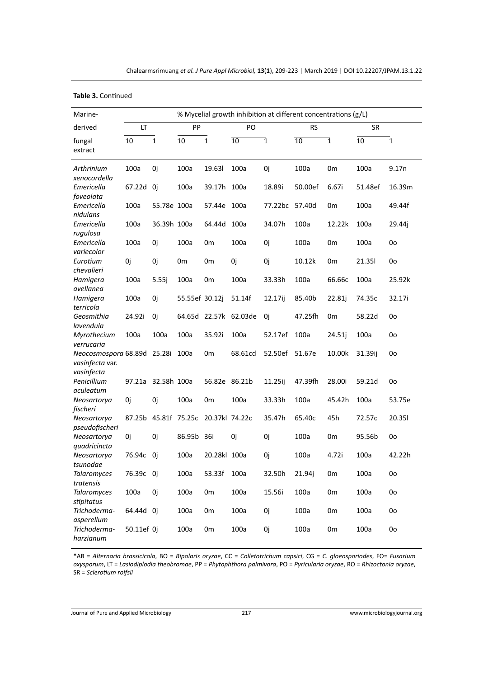**Table 3.** Continued

| Marine-                                                      | % Mycelial growth inhibition at different concentrations (g/L) |             |                                     |                |                       |                |         |                |         |              |
|--------------------------------------------------------------|----------------------------------------------------------------|-------------|-------------------------------------|----------------|-----------------------|----------------|---------|----------------|---------|--------------|
| derived                                                      | LT                                                             |             | PP                                  |                | PO                    |                |         | <b>RS</b>      |         |              |
| fungal<br>extract                                            | 10                                                             | $\mathbf 1$ | 10                                  | $\mathbf{1}$   | 10                    | $\mathbf{1}$   | 10      | $\overline{1}$ | 10      | $\mathbf{1}$ |
| Arthrinium<br>xenocordella                                   | 100a                                                           | 0j          | 100a                                | 19.631         | 100a                  | 0j             | 100a    | 0 <sub>m</sub> | 100a    | 9.17n        |
| Emericella<br>foveolata                                      | 67.22d 0j                                                      |             | 100a                                | 39.17h 100a    |                       | 18.89i         | 50.00ef | 6.67i          | 51.48ef | 16.39m       |
| Emericella<br>nidulans                                       | 100a                                                           | 55.78e 100a |                                     | 57.44e 100a    |                       | 77.22bc 57.40d |         | 0m             | 100a    | 49.44f       |
| Emericella<br>rugulosa                                       | 100a                                                           | 36.39h 100a |                                     | 64.44d 100a    |                       | 34.07h         | 100a    | 12.22k         | 100a    | 29.44j       |
| Emericella<br>variecolor                                     | 100a                                                           | 0j          | 100a                                | 0m             | 100a                  | 0j             | 100a    | 0 <sub>m</sub> | 100a    | 0o           |
| Eurotium<br>chevalieri                                       | 0j                                                             | 0j          | 0m                                  | 0 <sub>m</sub> | 0j                    | 0j             | 10.12k  | 0 <sub>m</sub> | 21.351  | 0o           |
| Hamigera<br>avellanea                                        | 100a                                                           | 5.55j       | 100a                                | 0m             | 100a                  | 33.33h         | 100a    | 66.66c         | 100a    | 25.92k       |
| Hamigera<br>terricola                                        | 100a                                                           | 0j          | 55.55ef 30.12j                      |                | 51.14f                | 12.17ij        | 85.40b  | 22.81j         | 74.35c  | 32.17i       |
| Geosmithia<br>lavendula                                      | 24.92i                                                         | 0j          |                                     |                | 64.65d 22.57k 62.03de | 0j             | 47.25fh | 0 <sub>m</sub> | 58.22d  | 0o           |
| Myrothecium<br>verrucaria                                    | 100a                                                           | 100a        | 100a                                | 35.92i         | 100a                  | 52.17ef        | 100a    | 24.51i         | 100a    | 0o           |
| Neocosmospora 68.89d 25.28i<br>vasinfecta var.<br>vasinfecta |                                                                |             | 100a                                | 0 <sub>m</sub> | 68.61cd               | 52.50ef        | 51.67e  | 10.00k         | 31.39ij | 0o           |
| Penicillium<br>aculeatum                                     | 97.21a 32.58h 100a                                             |             |                                     | 56.82e 86.21b  |                       | 11.25ij        | 47.39fh | 28.00i         | 59.21d  | 0o           |
| Neosartorya<br>fischeri                                      | 0j                                                             | 0j          | 100a                                | 0m             | 100a                  | 33.33h         | 100a    | 45.42h         | 100a    | 53.75e       |
| Neosartorya<br>pseudofischeri                                |                                                                |             | 87.25b 45.81f 75.25c 20.37kl 74.22c |                |                       | 35.47h         | 65.40c  | 45h            | 72.57c  | 20.351       |
| Neosartorya<br>quadricincta                                  | 0j                                                             | 0i          | 86.95b 36i                          |                | 0i                    | 0i             | 100a    | 0 <sub>m</sub> | 95.56b  | 0o           |
| Neosartorya<br>tsunodae                                      | 76.94c                                                         | 0i          | 100a                                | 20.28kl 100a   |                       | 0j             | 100a    | 4.72i          | 100a    | 42.22h       |
| <b>Talaromyces</b><br>tratensis                              | 76.39c 0j                                                      |             | 100a                                | 53.33f         | 100a                  | 32.50h         | 21.94j  | 0 <sub>m</sub> | 100a    | 0o           |
| <b>Talaromyces</b><br>stipitatus                             | 100a                                                           | 0i          | 100a                                | 0 <sub>m</sub> | 100a                  | 15.56i         | 100a    | 0 <sub>m</sub> | 100a    | 0o           |
| Trichoderma-<br>asperellum                                   | 64.44d 0j                                                      |             | 100a                                | 0 <sub>m</sub> | 100a                  | 0j             | 100a    | 0 <sub>m</sub> | 100a    | 0o           |
| Trichoderma-<br>harzianum                                    | 50.11ef 0j                                                     |             | 100a                                | 0 <sub>m</sub> | 100a                  | 0j             | 100a    | 0 <sub>m</sub> | 100a    | 0o           |

\*AB = *Alternaria brassicicola*, BO = *Bipolaris oryzae*, CC = *Colletotrichum capsici*, CG = *C*. *gloeosporiodes*, FO= *Fusarium oxysporum*, LT = *Lasiodiplodia theobromae*, PP = *Phytophthora palmivora*, PO = *Pyricularia oryzae*, RO = *Rhizoctonia oryzae*, SR = *Sclerotium rolfsii*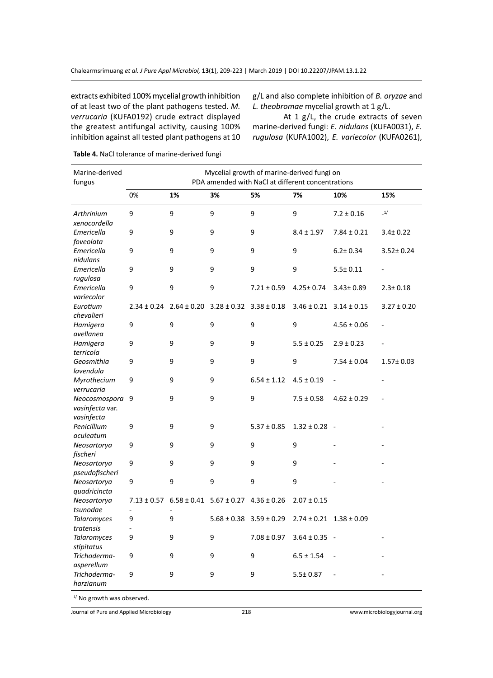extracts exhibited 100% mycelial growth inhibition of at least two of the plant pathogens tested. *M. verrucaria* (KUFA0192) crude extract displayed the greatest antifungal activity, causing 100% inhibition against all tested plant pathogens at 10

g/L and also complete inhibition of *B. oryzae* and *L. theobromae* mycelial growth at 1 g/L.

At 1 g/L, the crude extracts of seven marine-derived fungi: *E. nidulans* (KUFA0031), *E. rugulosa* (KUFA1002), *E. variecolor* (KUFA0261),

| Marine-derived<br>fungus                         | Mycelial growth of marine-derived fungi on<br>PDA amended with NaCl at different concentrations |    |                                                 |                 |                                 |                 |                 |  |  |  |  |
|--------------------------------------------------|-------------------------------------------------------------------------------------------------|----|-------------------------------------------------|-----------------|---------------------------------|-----------------|-----------------|--|--|--|--|
|                                                  | 0%                                                                                              | 1% | 3%                                              | 5%              | 7%                              | 10%             | 15%             |  |  |  |  |
| Arthrinium<br>xenocordella                       | 9                                                                                               | 9  | 9                                               | 9               | 9                               | $7.2 \pm 0.16$  | $\_1/$          |  |  |  |  |
| Emericella<br>foveolata                          | 9                                                                                               | 9  | 9                                               | 9               | $8.4 \pm 1.97$                  | $7.84 \pm 0.21$ | $3.4 \pm 0.22$  |  |  |  |  |
| Emericella<br>nidulans                           | 9                                                                                               | 9  | 9                                               | 9               | 9                               | $6.2 \pm 0.34$  | $3.52 \pm 0.24$ |  |  |  |  |
| Emericella<br>rugulosa                           | 9                                                                                               | 9  | 9                                               | 9               | 9                               | $5.5 \pm 0.11$  |                 |  |  |  |  |
| Emericella<br>variecolor                         | 9                                                                                               | 9  | 9                                               | $7.21 \pm 0.59$ | $4.25 \pm 0.74$                 | $3.43 \pm 0.89$ | $2.3 \pm 0.18$  |  |  |  |  |
| Eurotium<br>chevalieri                           | $2.34 \pm 0.24$                                                                                 |    | $2.64 \pm 0.20$ $3.28 \pm 0.32$ $3.38 \pm 0.18$ |                 | $3.46 \pm 0.21$ $3.14 \pm 0.15$ |                 | $3.27 \pm 0.20$ |  |  |  |  |
| Hamigera<br>avellanea                            | 9                                                                                               | 9  | 9                                               | 9               | 9                               | $4.56 \pm 0.06$ |                 |  |  |  |  |
| Hamigera<br>terricola                            | 9                                                                                               | 9  | 9                                               | 9               | $5.5 \pm 0.25$                  | $2.9 \pm 0.23$  |                 |  |  |  |  |
| Geosmithia<br>lavendula                          | 9                                                                                               | 9  | 9                                               | 9               | 9                               | $7.54 \pm 0.04$ | $1.57 \pm 0.03$ |  |  |  |  |
| Myrothecium<br>verrucaria                        | 9                                                                                               | 9  | 9                                               | $6.54 \pm 1.12$ | $4.5 \pm 0.19$                  |                 |                 |  |  |  |  |
| Neocosmospora 9<br>vasinfecta var.<br>vasinfecta |                                                                                                 | 9  | 9                                               | 9               | $7.5 \pm 0.58$                  | $4.62 \pm 0.29$ |                 |  |  |  |  |
| Penicillium<br>aculeatum                         | 9                                                                                               | 9  | 9                                               | $5.37 \pm 0.85$ | $1.32 \pm 0.28$ -               |                 |                 |  |  |  |  |
| Neosartorya<br>fischeri                          | 9                                                                                               | 9  | 9                                               | 9               | 9                               |                 |                 |  |  |  |  |
| Neosartorya<br>pseudofischeri                    | 9                                                                                               | 9  | 9                                               | 9               | 9                               |                 |                 |  |  |  |  |
| Neosartorya<br>quadricincta                      | 9                                                                                               | 9  | 9                                               | 9               | 9                               |                 |                 |  |  |  |  |
| Neosartorya<br>tsunodae                          | $7.13 \pm 0.57$<br>$\frac{1}{2}$                                                                |    | $6.58 \pm 0.41$ $5.67 \pm 0.27$ $4.36 \pm 0.26$ |                 | $2.07 \pm 0.15$                 |                 |                 |  |  |  |  |
| <b>Talaromyces</b><br>tratensis                  | 9                                                                                               | 9  | $5.68 \pm 0.38$ $3.59 \pm 0.29$                 |                 | $2.74 \pm 0.21$ $1.38 \pm 0.09$ |                 |                 |  |  |  |  |
| <b>Talaromyces</b><br>stipitatus                 | 9                                                                                               | 9  | 9                                               | $7.08 \pm 0.97$ | $3.64 \pm 0.35$ -               |                 |                 |  |  |  |  |
| Trichoderma-<br>asperellum                       | 9                                                                                               | 9  | 9                                               | 9               | $6.5 \pm 1.54$                  |                 |                 |  |  |  |  |
| Trichoderma-<br>harzianum                        | 9                                                                                               | 9  | 9                                               | 9               | $5.5 \pm 0.87$                  |                 |                 |  |  |  |  |

**Table 4.** NaCl tolerance of marine-derived fungi

<sup>1/</sup> No growth was observed.

Journal of Pure and Applied Microbiology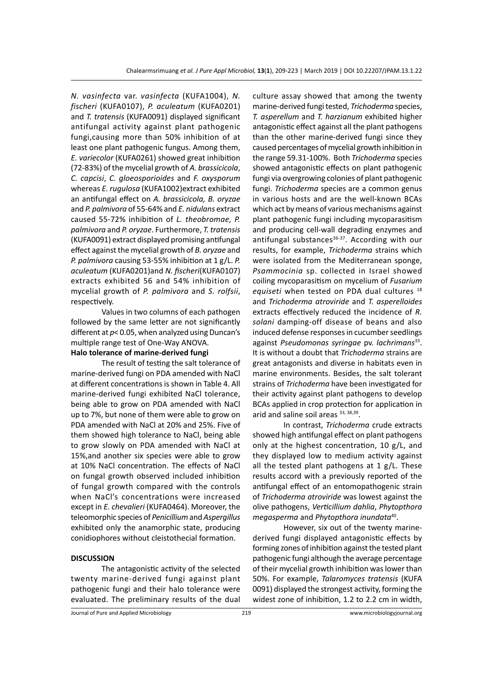*N. vasinfecta* var. *vasinfecta* (KUFA1004), *N. fischeri* (KUFA0107), *P. aculeatum* (KUFA0201) and *T. tratensis* (KUFA0091) displayed significant antifungal activity against plant pathogenic fungi,causing more than 50% inhibition of at least one plant pathogenic fungus. Among them, *E. variecolor* (KUFA0261) showed great inhibition (72-83%) of the mycelial growth of *A. brassicicola*, *C. capcisi*, *C. gloeosporioides* and *F. oxysporum* whereas *E. rugulosa* (KUFA1002)extract exhibited an antifungal effect on *A. brassicicola, B. oryzae*  and *P. palmivora* of 55-64% and *E. nidulans* extract caused 55-72% inhibition of *L. theobromae, P. palmivora* and *P. oryzae*. Furthermore, *T. tratensis*  (KUFA0091) extract displayed promising antifungal effect against the mycelial growth of *B. oryzae* and *P. palmivora* causing 53-55% inhibition at 1 g/L. *P. aculeatum* (KUFA0201)and *N. fischeri*(KUFA0107) extracts exhibited 56 and 54% inhibition of mycelial growth of *P. palmivora* and *S. rolfsii*, respectively.

Values in two columns of each pathogen followed by the same letter are not significantly different at *p*< 0.05, when analyzed using Duncan's multiple range test of One-Way ANOVA.

## **Halo tolerance of marine-derived fungi**

The result of testing the salt tolerance of marine-derived fungi on PDA amended with NaCl at different concentrations is shown in Table 4. All marine-derived fungi exhibited NaCl tolerance, being able to grow on PDA amended with NaCl up to 7%, but none of them were able to grow on PDA amended with NaCl at 20% and 25%. Five of them showed high tolerance to NaCl, being able to grow slowly on PDA amended with NaCl at 15%,and another six species were able to grow at 10% NaCl concentration. The effects of NaCl on fungal growth observed included inhibition of fungal growth compared with the controls when NaCl's concentrations were increased except in *E. chevalieri* (KUFA0464). Moreover, the teleomorphic species of *Penicillium* and *Aspergillus*  exhibited only the anamorphic state, producing conidiophores without cleistothecial formation.

#### **DISCUSSION**

The antagonistic activity of the selected twenty marine-derived fungi against plant pathogenic fungi and their halo tolerance were evaluated. The preliminary results of the dual culture assay showed that among the twenty marine-derived fungi tested, *Trichoderma* species, *T. asperellum* and *T. harzianum* exhibited higher antagonistic effect against all the plant pathogens than the other marine-derived fungi since they caused percentages of mycelial growth inhibition in the range 59.31-100%. Both *Trichoderma* species showed antagonistic effects on plant pathogenic fungi via overgrowing colonies of plant pathogenic fungi. *Trichoderma* species are a common genus in various hosts and are the well-known BCAs which act by means of various mechanisms against plant pathogenic fungi including mycoparasitism and producing cell-wall degrading enzymes and antifungal substances<sup>36-37</sup>. According with our results, for example, *Trichoderma* strains which were isolated from the Mediterranean sponge, *Psammocinia* sp. collected in Israel showed coiling mycoparasitism on mycelium of *Fusarium equiseti* when tested on PDA dual cultures 18 and *Trichoderma atroviride* and *T. asperelloides* extracts effectively reduced the incidence of *R. solani* damping-off disease of beans and also induced defense responses in cucumber seedlings against *Pseudomonas syringae* pv. *lachrimans*33. It is without a doubt that *Trichoderma* strains are great antagonists and diverse in habitats even in marine environments. Besides, the salt tolerant strains of *Trichoderma* have been investigated for their activity against plant pathogens to develop BCAs applied in crop protection for application in arid and saline soil areas 33, 38,39.

In contrast, *Trichoderma* crude extracts showed high antifungal effect on plant pathogens only at the highest concentration, 10 g/L, and they displayed low to medium activity against all the tested plant pathogens at 1 g/L. These results accord with a previously reported of the antifungal effect of an entomopathogenic strain of *Trichoderma atroviride* was lowest against the olive pathogens, *Verticillium dahlia*, *Phytopthora megasperma* and *Phytopthora inundata*40.

However, six out of the twenty marinederived fungi displayed antagonistic effects by forming zones of inhibition against the tested plant pathogenic fungi although the average percentage of their mycelial growth inhibition was lower than 50%. For example, *Talaromyces tratensis* (KUFA 0091) displayed the strongest activity, forming the widest zone of inhibition, 1.2 to 2.2 cm in width,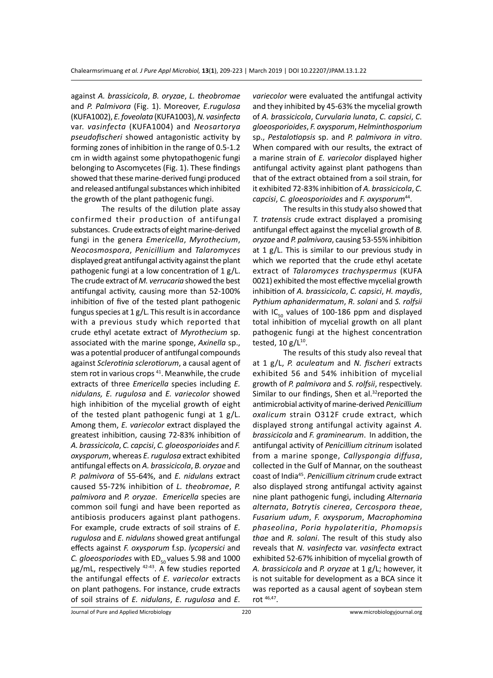against *A. brassicicola*, *B. oryzae*, *L. theobromae* and *P. Palmivora* (Fig. 1). Moreover, *E.rugulosa* (KUFA1002), *E. foveolata* (KUFA1003), *N. vasinfecta* var. *vasinfecta* (KUFA1004) and *Neosartorya pseudofischeri* showed antagonistic activity by forming zones of inhibition in the range of 0.5-1.2 cm in width against some phytopathogenic fungi belonging to Ascomycetes (Fig. 1). These findings showed that these marine-derived fungi produced and released antifungal substances which inhibited the growth of the plant pathogenic fungi.

The results of the dilution plate assay confirmed their production of antifungal substances. Crude extracts of eight marine-derived fungi in the genera *Emericella*, *Myrothecium*, *Neocosmospora*, *Penicillium* and *Talaromyces* displayed great antifungal activity against the plant pathogenic fungi at a low concentration of 1 g/L. The crude extract of *M. verrucaria* showed the best antifungal activity, causing more than 52-100% inhibition of five of the tested plant pathogenic fungus species at 1 g/L. This result is in accordance with a previous study which reported that crude ethyl acetate extract of *Myrothecium* sp. associated with the marine sponge, *Axinella* sp., was a potential producer of antifungal compounds against *Sclerotinia sclerotiorum*, a causal agent of stem rot in various crops<sup>41</sup>. Meanwhile, the crude extracts of three *Emericella* species including *E. nidulans, E. rugulosa* and *E. variecolor* showed high inhibition of the mycelial growth of eight of the tested plant pathogenic fungi at 1 g/L. Among them, *E. variecolor* extract displayed the greatest inhibition, causing 72-83% inhibition of *A. brassicicola*, *C. capcisi*, *C. gloeosporioides* and *F. oxysporum*, whereas *E. rugulosa* extract exhibited antifungal effects on *A. brassicicola*, *B. oryzae* and *P. palmivora* of 55-64%, and *E. nidulans* extract caused 55-72% inhibition of *L. theobromae*, *P. palmivora* and *P. oryzae*. *Emericella* species are common soil fungi and have been reported as antibiosis producers against plant pathogens. For example, crude extracts of soil strains of *E. rugulosa* and *E. nidulans* showed great antifungal effects against *F. oxysporum* f.sp. *lycopersici* and *C. gloeosporiodes* with ED<sub>50</sub> values 5.98 and 1000 µg/mL, respectively <sup>42-43</sup>. A few studies reported the antifungal effects of *E. variecolor* extracts on plant pathogens. For instance, crude extracts of soil strains of *E. nidulans*, *E. rugulosa* and *E.* 

*variecolor* were evaluated the antifungal activity and they inhibited by 45-63% the mycelial growth of *A. brassicicola*, *Curvularia lunata*, *C. capsici*, *C. gloeosporioides*, *F. oxysporum*, *Helminthosporium* sp., *Pestalotiopsis* sp. and *P. palmivora in vitro*. When compared with our results, the extract of a marine strain of *E. variecolor* displayed higher antifungal activity against plant pathogens than that of the extract obtained from a soil strain, for it exhibited 72-83% inhibition of *A. brassicicola*, *C. capcisi*, *C. gloeosporioides* and *F. oxysporum*44.

The results in this study also showed that *T. tratensis* crude extract displayed a promising antifungal effect against the mycelial growth of *B. oryzae* and *P. palmivora*, causing 53-55% inhibition at 1 g/L. This is similar to our previous study in which we reported that the crude ethyl acetate extract of *Talaromyces trachyspermus* (KUFA 0021) exhibited the most effective mycelial growth inhibition of *A. brassicicola*, *C. capsici*, *H. maydis*, *Pythium aphanidermatum*, *R. solani* and *S. rolfsii* with IC $_{50}$  values of 100-186 ppm and displayed total inhibition of mycelial growth on all plant pathogenic fungi at the highest concentration tested,  $10 g/L^{10}$ .

The results of this study also reveal that at 1 g/L, *P. aculeatum* and *N. fischeri* extracts exhibited 56 and 54% inhibition of mycelial growth of *P. palmivora* and *S. rolfsii*, respectively. Similar to our findings, Shen et al.<sup>32</sup>reported the antimicrobial activity of marine-derived *Penicillium oxalicum* strain O312F crude extract, which displayed strong antifungal activity against *A. brassicicola* and *F. graminearum*. In addition, the antifungal activity of *Penicillium citrinum* isolated from a marine sponge, *Callyspongia diffusa*, collected in the Gulf of Mannar, on the southeast coast of India45. *Penicillium citrinum* crude extract also displayed strong antifungal activity against nine plant pathogenic fungi, including *Alternaria alternata*, *Botrytis cinerea*, *Cercospora theae*, *Fusarium udum*, *F. oxysporum*, *Macrophomina phaseolina*, *Poria hypolateritia*, *Phomopsis thae* and *R. solani*. The result of this study also reveals that *N. vasinfecta* var. *vasinfecta* extract exhibited 52-67% inhibition of mycelial growth of *A. brassicicola* and *P. oryzae* at 1 g/L; however, it is not suitable for development as a BCA since it was reported as a causal agent of soybean stem rot 46,47.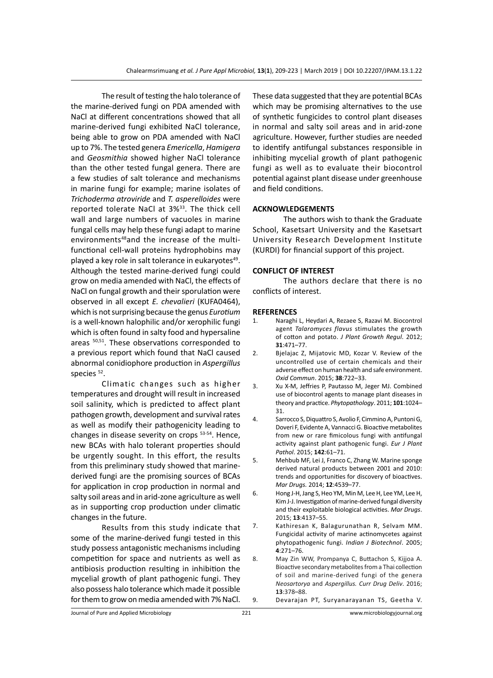The result of testing the halo tolerance of the marine-derived fungi on PDA amended with NaCl at different concentrations showed that all marine-derived fungi exhibited NaCl tolerance, being able to grow on PDA amended with NaCl up to 7%. The tested genera *Emericella*, *Hamigera* and *Geosmithia* showed higher NaCl tolerance than the other tested fungal genera. There are a few studies of salt tolerance and mechanisms in marine fungi for example; marine isolates of *Trichoderma atroviride* and *T. asperelloides* were reported tolerate NaCl at 3%<sup>33</sup>. The thick cell wall and large numbers of vacuoles in marine fungal cells may help these fungi adapt to marine environments<sup>48</sup>and the increase of the multifunctional cell-wall proteins hydrophobins may played a key role in salt tolerance in eukaryotes<sup>49</sup>. Although the tested marine-derived fungi could grow on media amended with NaCl, the effects of NaCl on fungal growth and their sporulation were observed in all except *E. chevalieri* (KUFA0464), which is not surprising because the genus *Eurotium* is a well-known halophilic and/or xerophilic fungi which is often found in salty food and hypersaline areas  $50,51$ . These observations corresponded to a previous report which found that NaCl caused abnormal conidiophore production in *Aspergillus* species<sup>52</sup>.

Climatic changes such as higher temperatures and drought will result in increased soil salinity, which is predicted to affect plant pathogen growth, development and survival rates as well as modify their pathogenicity leading to changes in disease severity on crops 53-54. Hence, new BCAs with halo tolerant properties should be urgently sought. In this effort, the results from this preliminary study showed that marinederived fungi are the promising sources of BCAs for application in crop production in normal and salty soil areas and in arid-zone agriculture as well as in supporting crop production under climatic changes in the future.

Results from this study indicate that some of the marine-derived fungi tested in this study possess antagonistic mechanisms including competition for space and nutrients as well as antibiosis production resulting in inhibition the mycelial growth of plant pathogenic fungi. They also possess halo tolerance which made it possible for them to grow on media amended with 7% NaCl. These data suggested that they are potential BCAs which may be promising alternatives to the use of synthetic fungicides to control plant diseases in normal and salty soil areas and in arid-zone agriculture. However, further studies are needed to identify antifungal substances responsible in inhibiting mycelial growth of plant pathogenic fungi as well as to evaluate their biocontrol potential against plant disease under greenhouse and field conditions.

## **ACKNOWLEDGEMENTS**

The authors wish to thank the Graduate School, Kasetsart University and the Kasetsart University Research Development Institute (KURDI) for financial support of this project.

## **CONFLICT OF INTEREST**

The authors declare that there is no conflicts of interest.

#### **REFERENCES**

- 1. Naraghi L, Heydari A, Rezaee S, Razavi M. Biocontrol agent *Talaromyces flavus* stimulates the growth of cotton and potato. *J Plant Growth Regul*. 2012; **31**:471–77.
- 2. Bjelajac Z, Mijatovic MD, Kozar V. Review of the uncontrolled use of certain chemicals and their adverse effect on human health and safe environment. *Oxid Commun*. 2015; **38**:722–33.
- 3. Xu X-M, Jeffries P, Pautasso M, Jeger MJ. Combined use of biocontrol agents to manage plant diseases in theory and practice. *Phytopathology*. 2011; **101**:1024– 31.
- 4. Sarrocco S, Diquattro S, Avolio F, Cimmino A, Puntoni G, Doveri F, Evidente A, Vannacci G. Bioactive metabolites from new or rare fimicolous fungi with antifungal activity against plant pathogenic fungi. *Eur J Plant Pathol*. 2015; **142**:61–71.
- 5. Mehbub MF, Lei J, Franco C, Zhang W. Marine sponge derived natural products between 2001 and 2010: trends and opportunities for discovery of bioactives. *Mar Drugs.* 2014; **12**:4539–77.
- 6. Hong J-H, Jang S, Heo YM, Min M, Lee H, Lee YM, Lee H, Kim J-J. Investigation of marine-derived fungal diversity and their exploitable biological activities. *Mar Drugs*. 2015; **13**:4137–55.
- 7. Kathiresan K, Balagurunathan R, Selvam MM. Fungicidal activity of marine actinomycetes against phytopathogenic fungi. *Indian J Biotechnol*. 2005; **4**:271–76.
- 8. May Zin WW, Prompanya C, Buttachon S, Kijjoa A. Bioactive secondary metabolites from a Thai collection of soil and marine-derived fungi of the genera *Neosartorya* and *Aspergillus. Curr Drug Deliv*. 2016; **13**:378–88.
- 9. Devarajan PT, Suryanarayanan TS, Geetha V.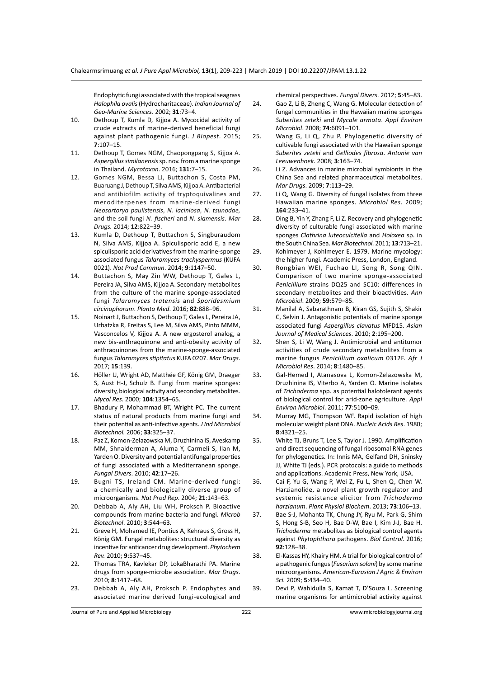Endophytic fungi associated with the tropical seagrass *Halophila ovalis* (Hydrocharitaceae). *Indian Journal of Geo-Marine Sciences*. 2002; **31**:73–4.

- 10. Dethoup T, Kumla D, Kijjoa A. Mycocidal activity of crude extracts of marine-derived beneficial fungi against plant pathogenic fungi. *J Biopest*. 2015; **7**:107–15.
- 11. Dethoup T, Gomes NGM, Chaopongpang S, Kijjoa A. *Aspergillus similanensis* sp. nov. from a marine sponge in Thailand. *Mycotaxon*. 2016; **131**:7–15.
- 12. Gomes NGM, Bessa LJ, Buttachon S, Costa PM, Buaruang J, Dethoup T, Silva AMS, Kijjoa A. Antibacterial and antibiofilm activity of tryptoquivalines and meroditerpenes from marine-derived fungi *Neosartorya paulistensis*, *N. laciniosa*, *N. tsunodae,* and the soil fungi *N. fischeri* and *N. siamensis*. *Mar Drugs.* 2014; **12**:822–39.
- 13. Kumla D, Dethoup T, Buttachon S, Singburaudom N, Silva AMS, Kijjoa A. Spiculisporic acid E, a new spiculisporic acid derivatives from the marine-sponge associated fungus *Talaromyces trachyspermus* (KUFA 0021). *Nat Prod Commun*. 2014; **9**:1147–50.
- 14. Buttachon S, May Zin WW, Dethoup T, Gales L, Pereira JA, Silva AMS, Kijjoa A. Secondary metabolites from the culture of the marine sponge-associated fungi *Talaromyces tratensis* and *Sporidesmium circinophorum*. *Planta Med*. 2016; **82**:888–96.
- 15. Noinart J, Buttachon S, Dethoup T, Gales L, Pereira JA, Urbatzka R, Freitas S, Lee M, Silva AMS, Pinto MMM, Vasconcelos V, Kijjoa A. A new ergosterol analog, a new bis-anthraquinone and anti-obesity activity of anthraquinones from the marine-sponge-associated fungus *Talaromyces stipitatus* KUFA 0207. *Mar Drugs*. 2017; **15**:139.
- 16. Höller U, Wright AD, Matthée GF, König GM, Draeger S, Aust H-J, Schulz B. Fungi from marine sponges: diversity, biological activity and secondary metabolites. *Mycol Res*. 2000; **104**:1354–65.
- 17. Bhadury P, Mohammad BT, Wright PC. The current status of natural products from marine fungi and their potential as anti-infective agents. *J Ind Microbiol Biotechnol.* 2006; **33**:325–37.
- 18. Paz Z, Komon-Zelazowska M, Druzhinina IS, Aveskamp MM, Shnaiderman A, Aluma Y, Carmeli S, Ilan M, Yarden O. Diversity and potential antifungal properties of fungi associated with a Mediterranean sponge. *Fungal Divers*. 2010; **42**:17–26.
- 19. Bugni TS, Ireland CM. Marine-derived fungi: a chemically and biologically diverse group of microorganisms. *Nat Prod Rep*. 2004; **21**:143–63.
- 20. Debbab A, Aly AH, Liu WH, Proksch P. Bioactive compounds from marine bacteria and fungi. *Microb Biotechnol*. 2010; **3**:544–63.
- 21. Greve H, Mohamed IE, Pontius A, Kehraus S, Gross H, König GM. Fungal metabolites: structural diversity as incentive for anticancer drug development. *Phytochem Rev.* 2010; **9**:537–45.
- 22. Thomas TRA, Kavlekar DP, LokaBharathi PA. Marine drugs from sponge-microbe association. *Mar Drugs*. 2010; **8**:1417–68.
- 23. Debbab A, Aly AH, Proksch P. Endophytes and associated marine derived fungi-ecological and

chemical perspectives. *Fungal Divers*. 2012; **5**:45–83.

- 24. Gao Z, Li B, Zheng C, Wang G. Molecular detection of fungal communities in the Hawaiian marine sponges *Suberites zeteki* and *Mycale armata*. *Appl Environ Microbiol*. 2008; **74**:6091–101.
- 25. Wang G, Li Q, Zhu P. Phylogenetic diversity of cultivable fungi associated with the Hawaiian sponge *Suberites zeteki* and *Gelliodes fibrosa*. *Antonie van Leeuwenhoek*. 2008; **3**:163–74.
- 26. Li Z. Advances in marine microbial symbionts in the China Sea and related pharmaceutical metabolites. *Mar Drugs*. 2009; **7**:113–29.
- 27. Li Q, Wang G. Diversity of fungal isolates from three Hawaiian marine sponges. *Microbiol Res*. 2009; **164**:233–41.
- 28. Ding B, Yin Y, Zhang F, Li Z. Recovery and phylogenetic diversity of culturable fungi associated with marine sponges *Clathrina luteoculcitella* and *Holoxea* sp. in the South China Sea. *Mar Biotechnol.* 2011; **13**:713–21.
- 29. Kohlmeyer J, Kohlmeyer E. 1979. Marine mycology: the higher fungi. Academic Press, London, England.
- 30. Rongbian WEI, Fuchao LI, Song R, Song QIN. Comparison of two marine sponge-associated *Penicillium* strains DQ25 and SC10: differences in secondary metabolites and their bioactivities. *Ann Microbiol*. 2009; **59**:579–85.
- 31. Manilal A, Sabarathnam B, Kiran GS, Sujith S, Shakir C, Selvin J. Antagonistic potentials of marine sponge associated fungi *Aspergillus clavatus* MFD15. *Asian Journal of Medical Sciences*. 2010; **2**:195–200.
- 32. Shen S, Li W, Wang J. Antimicrobial and antitumor activities of crude secondary metabolites from a marine fungus *Penicillium oxalicum* 0312F. *Afr J Microbiol Res*. 2014; **8**:1480–85.
- 33. Gal-Hemed I, Atanasova L, Komon-Zelazowska M, Druzhinina IS, Viterbo A, Yarden O. Marine isolates of *Trichoderma* spp. as potential halotolerant agents of biological control for arid-zone agriculture. *Appl Environ Microbiol*. 2011; **77**:5100–09.
- 34. Murray MG, Thompson WF. Rapid isolation of high molecular weight plant DNA. *Nucleic Acids Res*. 1980; **8**:4321−25.
- 35. White TJ, Bruns T, Lee S, Taylor J. 1990. Amplification and direct sequencing of fungal ribosomal RNA genes for phylogenetics. In: Innis MA, Gelfand DH, Sninsky JJ, White TJ (eds.). PCR protocols: a guide to methods and applications. Academic Press, New York, USA.
- 36. Cai F, Yu G, Wang P, Wei Z, Fu L, Shen Q, Chen W. Harzianolide, a novel plant growth regulator and systemic resistance elicitor from *Trichoderma harzianum*. *Plant Physiol Biochem*. 2013; **73**:106–13.
- 37. Bae S-J, Mohanta TK, Chung JY, Ryu M, Park G, Shim S, Hong S-B, Seo H, Bae D-W, Bae I, Kim J-J, Bae H. *Trichoderma* metabolites as biological control agents against *Phytophthora* pathogens. *Biol Control*. 2016; **92**:128–38.
- 38. El-Kassas HY, Khairy HM. A trial for biological control of a pathogenic fungus (*Fusarium solani*) by some marine microorganisms. *American-Eurasian J Agric & Environ Sci.* 2009; **5**:434–40.
- 39. Devi P, Wahidulla S, Kamat T, D'Souza L. Screening marine organisms for antimicrobial activity against